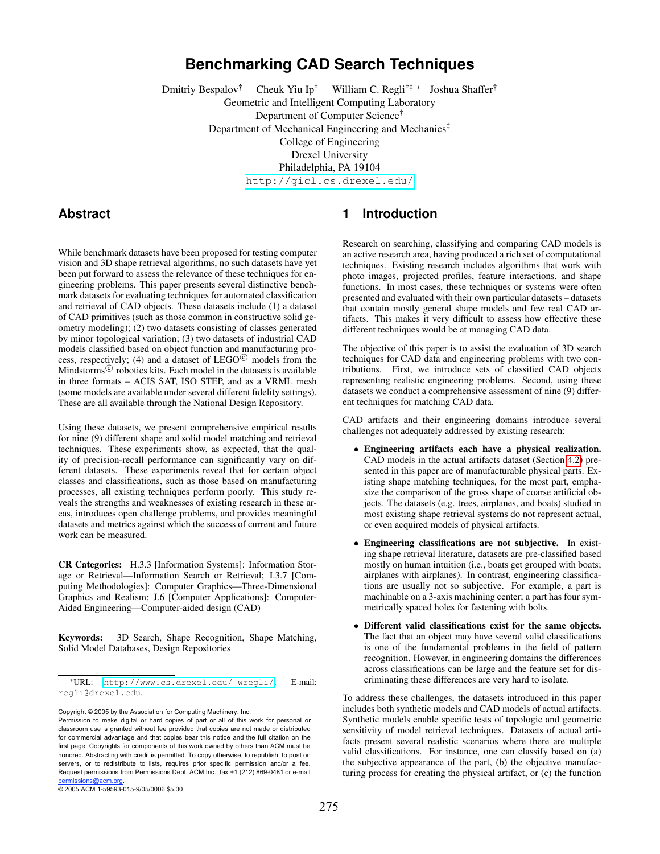# **Benchmarking CAD Search Techniques**

Dmitriy Bespalov† Cheuk Yiu Ip† William C. Regli†‡ <sup>∗</sup> Joshua Shaffer† Geometric and Intelligent Computing Laboratory Department of Computer Science† Department of Mechanical Engineering and Mechanics‡ College of Engineering Drexel University Philadelphia, PA 19104 <http://gicl.cs.drexel.edu/>

# **Abstract**

While benchmark datasets have been proposed for testing computer vision and 3D shape retrieval algorithms, no such datasets have yet been put forward to assess the relevance of these techniques for engineering problems. This paper presents several distinctive benchmark datasets for evaluating techniques for automated classification and retrieval of CAD objects. These datasets include (1) a dataset of CAD primitives (such as those common in constructive solid geometry modeling); (2) two datasets consisting of classes generated by minor topological variation; (3) two datasets of industrial CAD models classified based on object function and manufacturing process, respectively; (4) and a dataset of  $LEGO^{\circledcirc}$  models from the Mindstorms<sup>©</sup> robotics kits. Each model in the datasets is available in three formats – ACIS SAT, ISO STEP, and as a VRML mesh (some models are available under several different fidelity settings). These are all available through the National Design Repository.

Using these datasets, we present comprehensive empirical results for nine (9) different shape and solid model matching and retrieval techniques. These experiments show, as expected, that the quality of precision-recall performance can significantly vary on different datasets. These experiments reveal that for certain object classes and classifications, such as those based on manufacturing processes, all existing techniques perform poorly. This study reveals the strengths and weaknesses of existing research in these areas, introduces open challenge problems, and provides meaningful datasets and metrics against which the success of current and future work can be measured.

CR Categories: H.3.3 [Information Systems]: Information Storage or Retrieval—Information Search or Retrieval; I.3.7 [Computing Methodologies]: Computer Graphics—Three-Dimensional Graphics and Realism; J.6 [Computer Applications]: Computer-Aided Engineering—Computer-aided design (CAD)

Keywords: 3D Search, Shape Recognition, Shape Matching, Solid Model Databases, Design Repositories

# **1 Introduction**

Research on searching, classifying and comparing CAD models is an active research area, having produced a rich set of computational techniques. Existing research includes algorithms that work with photo images, projected profiles, feature interactions, and shape functions. In most cases, these techniques or systems were often presented and evaluated with their own particular datasets – datasets that contain mostly general shape models and few real CAD artifacts. This makes it very difficult to assess how effective these different techniques would be at managing CAD data.

The objective of this paper is to assist the evaluation of 3D search techniques for CAD data and engineering problems with two contributions. First, we introduce sets of classified CAD objects representing realistic engineering problems. Second, using these datasets we conduct a comprehensive assessment of nine (9) different techniques for matching CAD data.

CAD artifacts and their engineering domains introduce several challenges not adequately addressed by existing research:

- Engineering artifacts each have a physical realization. CAD models in the actual artifacts dataset (Section [4.2\)](#page-3-0) presented in this paper are of manufacturable physical parts. Existing shape matching techniques, for the most part, emphasize the comparison of the gross shape of coarse artificial objects. The datasets (e.g. trees, airplanes, and boats) studied in most existing shape retrieval systems do not represent actual, or even acquired models of physical artifacts.
- Engineering classifications are not subjective. In existing shape retrieval literature, datasets are pre-classified based mostly on human intuition (i.e., boats get grouped with boats; airplanes with airplanes). In contrast, engineering classifications are usually not so subjective. For example, a part is machinable on a 3-axis machining center; a part has four symmetrically spaced holes for fastening with bolts.
- Different valid classifications exist for the same objects. The fact that an object may have several valid classifications is one of the fundamental problems in the field of pattern recognition. However, in engineering domains the differences across classifications can be large and the feature set for discriminating these differences are very hard to isolate.

To address these challenges, the datasets introduced in this paper includes both synthetic models and CAD models of actual artifacts. Synthetic models enable specific tests of topologic and geometric sensitivity of model retrieval techniques. Datasets of actual artifacts present several realistic scenarios where there are multiple valid classifications. For instance, one can classify based on (a) the subjective appearance of the part, (b) the objective manufacturing process for creating the physical artifact, or (c) the function

<sup>∗</sup>URL: [http://www.cs.drexel.edu/˜wregli/](http://www.cs.drexel.edu/~wregli/); E-mail: regli@drexel.edu.

Copyright © 2005 by the Association for Computing Machinery, Inc.

Permission to make digital or hard copies of part or all of this work for personal or classroom use is granted without fee provided that copies are not made or distributed for commercial advantage and that copies bear this notice and the full citation on the first page. Copyrights for components of this work owned by others than ACM must be honored. Abstracting with credit is permitted. To copy otherwise, to republish, to post on servers, or to redistribute to lists, requires prior specific permission and/or a fee. Request permissions from Permissions Dept, ACM Inc., fax +1 (212) 869-0481 or e-mail permissions@acm.org. © 2005 ACM 1-59593-015-9/05/0006 \$5.00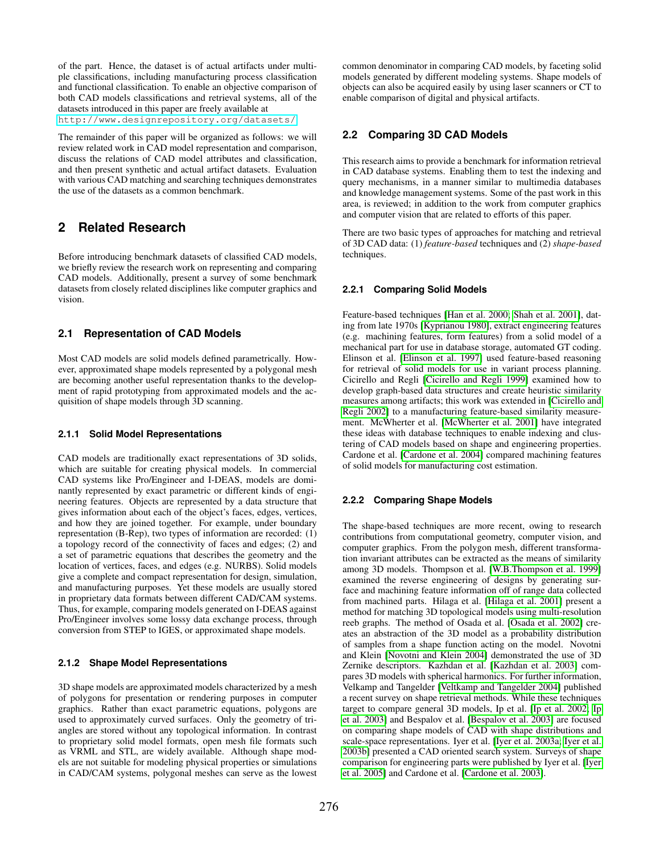of the part. Hence, the dataset is of actual artifacts under multiple classifications, including manufacturing process classification and functional classification. To enable an objective comparison of both CAD models classifications and retrieval systems, all of the datasets introduced in this paper are freely available at

<http://www.designrepository.org/datasets/>.

The remainder of this paper will be organized as follows: we will review related work in CAD model representation and comparison, discuss the relations of CAD model attributes and classification, and then present synthetic and actual artifact datasets. Evaluation with various CAD matching and searching techniques demonstrates the use of the datasets as a common benchmark.

## **2 Related Research**

Before introducing benchmark datasets of classified CAD models, we briefly review the research work on representing and comparing CAD models. Additionally, present a survey of some benchmark datasets from closely related disciplines like computer graphics and vision.

## **2.1 Representation of CAD Models**

Most CAD models are solid models defined parametrically. However, approximated shape models represented by a polygonal mesh are becoming another useful representation thanks to the development of rapid prototyping from approximated models and the acquisition of shape models through 3D scanning.

#### **2.1.1 Solid Model Representations**

CAD models are traditionally exact representations of 3D solids, which are suitable for creating physical models. In commercial CAD systems like Pro/Engineer and I-DEAS, models are dominantly represented by exact parametric or different kinds of engineering features. Objects are represented by a data structure that gives information about each of the object's faces, edges, vertices, and how they are joined together. For example, under boundary representation (B-Rep), two types of information are recorded: (1) a topology record of the connectivity of faces and edges; (2) and a set of parametric equations that describes the geometry and the location of vertices, faces, and edges (e.g. NURBS). Solid models give a complete and compact representation for design, simulation, and manufacturing purposes. Yet these models are usually stored in proprietary data formats between different CAD/CAM systems. Thus, for example, comparing models generated on I-DEAS against Pro/Engineer involves some lossy data exchange process, through conversion from STEP to IGES, or approximated shape models.

## **2.1.2 Shape Model Representations**

3D shape models are approximated models characterized by a mesh of polygons for presentation or rendering purposes in computer graphics. Rather than exact parametric equations, polygons are used to approximately curved surfaces. Only the geometry of triangles are stored without any topological information. In contrast to proprietary solid model formats, open mesh file formats such as VRML and STL, are widely available. Although shape models are not suitable for modeling physical properties or simulations in CAD/CAM systems, polygonal meshes can serve as the lowest common denominator in comparing CAD models, by faceting solid models generated by different modeling systems. Shape models of objects can also be acquired easily by using laser scanners or CT to enable comparison of digital and physical artifacts.

## **2.2 Comparing 3D CAD Models**

This research aims to provide a benchmark for information retrieval in CAD database systems. Enabling them to test the indexing and query mechanisms, in a manner similar to multimedia databases and knowledge management systems. Some of the past work in this area, is reviewed; in addition to the work from computer graphics and computer vision that are related to efforts of this paper.

There are two basic types of approaches for matching and retrieval of 3D CAD data: (1) *feature-based* techniques and (2) *shape-based* techniques.

## **2.2.1 Comparing Solid Models**

Feature-based techniques [\[Han et al. 2000;](#page-9-0) [Shah et al. 2001\]](#page-11-0), dating from late 1970s [\[Kyprianou 1980\]](#page-10-0), extract engineering features (e.g. machining features, form features) from a solid model of a mechanical part for use in database storage, automated GT coding. Elinson et al. [\[Elinson et al. 1997\]](#page-9-1) used feature-based reasoning for retrieval of solid models for use in variant process planning. Cicirello and Regli [\[Cicirello and Regli 1999\]](#page-9-2) examined how to develop graph-based data structures and create heuristic similarity measures among artifacts; this work was extended in [\[Cicirello and](#page-9-3) [Regli 2002\]](#page-9-3) to a manufacturing feature-based similarity measurement. McWherter et al. [\[McWherter et al. 2001\]](#page-11-1) have integrated these ideas with database techniques to enable indexing and clustering of CAD models based on shape and engineering properties. Cardone et al. [\[Cardone et al. 2004\]](#page-9-4) compared machining features of solid models for manufacturing cost estimation.

## **2.2.2 Comparing Shape Models**

The shape-based techniques are more recent, owing to research contributions from computational geometry, computer vision, and computer graphics. From the polygon mesh, different transformation invariant attributes can be extracted as the means of similarity among 3D models. Thompson et al. [\[W.B.Thompson et al. 1999\]](#page-11-2) examined the reverse engineering of designs by generating surface and machining feature information off of range data collected from machined parts. Hilaga et al. [\[Hilaga et al. 2001\]](#page-9-5) present a method for matching 3D topological models using multi-resolution reeb graphs. The method of Osada et al. [\[Osada et al. 2002\]](#page-11-3) creates an abstraction of the 3D model as a probability distribution of samples from a shape function acting on the model. Novotni and Klein [\[Novotni and Klein 2004\]](#page-11-4) demonstrated the use of 3D Zernike descriptors. Kazhdan et al. [\[Kazhdan et al. 2003\]](#page-10-1) compares 3D models with spherical harmonics. For further information, Velkamp and Tangelder [\[Veltkamp and Tangelder 2004\]](#page-11-5) published a recent survey on shape retrieval methods. While these techniques target to compare general 3D models, Ip et al. [\[Ip et al. 2002;](#page-9-6) [Ip](#page-9-7) [et al. 2003\]](#page-9-7) and Bespalov et al. [\[Bespalov et al. 2003\]](#page-8-0) are focused on comparing shape models of CAD with shape distributions and scale-space representations. Iyer et al. [\[Iyer et al. 2003a;](#page-9-8) [Iyer et al.](#page-9-9) [2003b\]](#page-9-9) presented a CAD oriented search system. Surveys of shape comparison for engineering parts were published by Iyer et al. [\[Iyer](#page-9-10) [et al. 2005\]](#page-9-10) and Cardone et al. [\[Cardone et al. 2003\]](#page-8-1).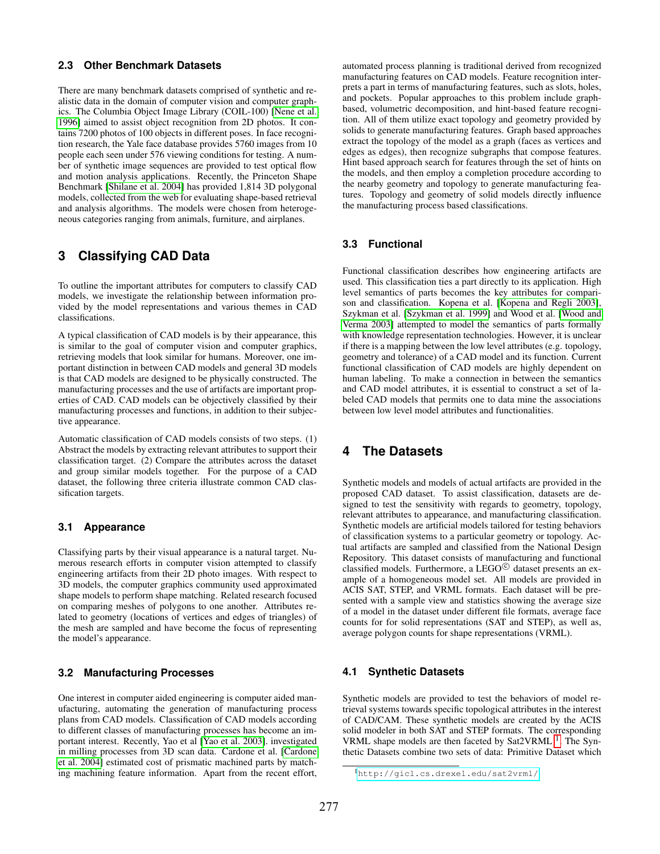#### **2.3 Other Benchmark Datasets**

There are many benchmark datasets comprised of synthetic and realistic data in the domain of computer vision and computer graphics. The Columbia Object Image Library (COIL-100) [\[Nene et al.](#page-11-6) [1996\]](#page-11-6) aimed to assist object recognition from 2D photos. It contains 7200 photos of 100 objects in different poses. In face recognition research, the Yale face database provides 5760 images from 10 people each seen under 576 viewing conditions for testing. A number of synthetic image sequences are provided to test optical flow and motion analysis applications. Recently, the Princeton Shape Benchmark [\[Shilane et al. 2004\]](#page-11-7) has provided 1,814 3D polygonal models, collected from the web for evaluating shape-based retrieval and analysis algorithms. The models were chosen from heterogeneous categories ranging from animals, furniture, and airplanes.

## **3 Classifying CAD Data**

To outline the important attributes for computers to classify CAD models, we investigate the relationship between information provided by the model representations and various themes in CAD classifications.

A typical classification of CAD models is by their appearance, this is similar to the goal of computer vision and computer graphics, retrieving models that look similar for humans. Moreover, one important distinction in between CAD models and general 3D models is that CAD models are designed to be physically constructed. The manufacturing processes and the use of artifacts are important properties of CAD. CAD models can be objectively classified by their manufacturing processes and functions, in addition to their subjective appearance.

Automatic classification of CAD models consists of two steps. (1) Abstract the models by extracting relevant attributes to support their classification target. (2) Compare the attributes across the dataset and group similar models together. For the purpose of a CAD dataset, the following three criteria illustrate common CAD classification targets.

## **3.1 Appearance**

Classifying parts by their visual appearance is a natural target. Numerous research efforts in computer vision attempted to classify engineering artifacts from their 2D photo images. With respect to 3D models, the computer graphics community used approximated shape models to perform shape matching. Related research focused on comparing meshes of polygons to one another. Attributes related to geometry (locations of vertices and edges of triangles) of the mesh are sampled and have become the focus of representing the model's appearance.

## **3.2 Manufacturing Processes**

One interest in computer aided engineering is computer aided manufacturing, automating the generation of manufacturing process plans from CAD models. Classification of CAD models according to different classes of manufacturing processes has become an important interest. Recently, Yao et al [\[Yao et al. 2003\]](#page-11-8). investigated in milling processes from 3D scan data. Cardone et al. [\[Cardone](#page-9-4) [et al. 2004\]](#page-9-4) estimated cost of prismatic machined parts by matching machining feature information. Apart from the recent effort, automated process planning is traditional derived from recognized manufacturing features on CAD models. Feature recognition interprets a part in terms of manufacturing features, such as slots, holes, and pockets. Popular approaches to this problem include graphbased, volumetric decomposition, and hint-based feature recognition. All of them utilize exact topology and geometry provided by solids to generate manufacturing features. Graph based approaches extract the topology of the model as a graph (faces as vertices and edges as edges), then recognize subgraphs that compose features. Hint based approach search for features through the set of hints on the models, and then employ a completion procedure according to the nearby geometry and topology to generate manufacturing features. Topology and geometry of solid models directly influence the manufacturing process based classifications.

## **3.3 Functional**

Functional classification describes how engineering artifacts are used. This classification ties a part directly to its application. High level semantics of parts becomes the key attributes for comparison and classification. Kopena et al. [\[Kopena and Regli 2003\]](#page-10-2), Szykman et al. [\[Szykman et al. 1999\]](#page-11-9) and Wood et al. [\[Wood and](#page-11-10) [Verma 2003\]](#page-11-10) attempted to model the semantics of parts formally with knowledge representation technologies. However, it is unclear if there is a mapping between the low level attributes (e.g. topology, geometry and tolerance) of a CAD model and its function. Current functional classification of CAD models are highly dependent on human labeling. To make a connection in between the semantics and CAD model attributes, it is essential to construct a set of labeled CAD models that permits one to data mine the associations between low level model attributes and functionalities.

# **4 The Datasets**

Synthetic models and models of actual artifacts are provided in the proposed CAD dataset. To assist classification, datasets are designed to test the sensitivity with regards to geometry, topology, relevant attributes to appearance, and manufacturing classification. Synthetic models are artificial models tailored for testing behaviors of classification systems to a particular geometry or topology. Actual artifacts are sampled and classified from the National Design Repository. This dataset consists of manufacturing and functional classified models. Furthermore, a LEGO<sup>©</sup> dataset presents an example of a homogeneous model set. All models are provided in ACIS SAT, STEP, and VRML formats. Each dataset will be presented with a sample view and statistics showing the average size of a model in the dataset under different file formats, average face counts for for solid representations (SAT and STEP), as well as, average polygon counts for shape representations (VRML).

## **4.1 Synthetic Datasets**

Synthetic models are provided to test the behaviors of model retrieval systems towards specific topological attributes in the interest of CAD/CAM. These synthetic models are created by the ACIS solid modeler in both SAT and STEP formats. The corresponding VRML shape models are then faceted by Sat2VRML<sup>[1](#page-2-0)</sup>. The Synthetic Datasets combine two sets of data: Primitive Dataset which

<span id="page-2-0"></span><sup>1</sup><http://gicl.cs.drexel.edu/sat2vrml/>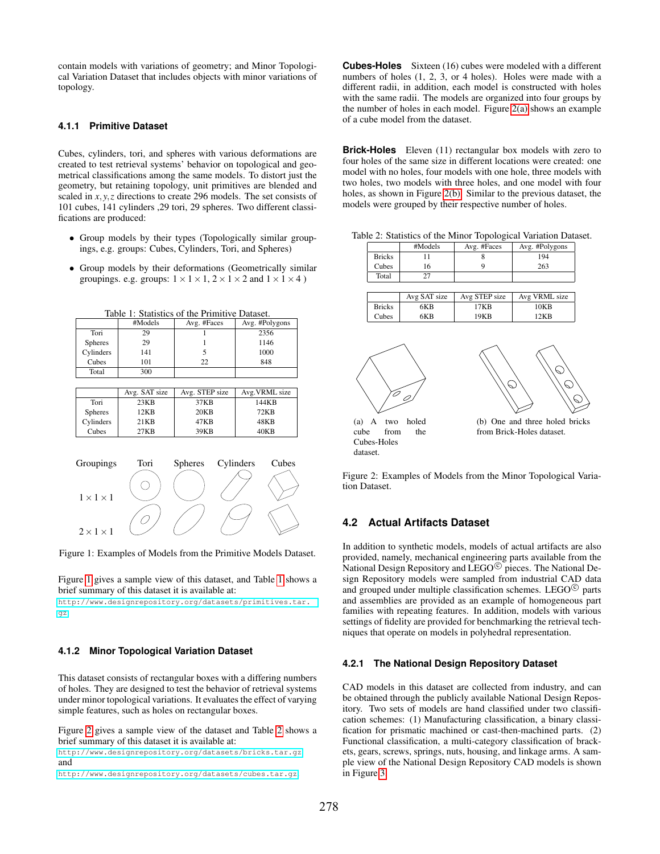contain models with variations of geometry; and Minor Topological Variation Dataset that includes objects with minor variations of topology.

#### **4.1.1 Primitive Dataset**

Cubes, cylinders, tori, and spheres with various deformations are created to test retrieval systems' behavior on topological and geometrical classifications among the same models. To distort just the geometry, but retaining topology, unit primitives are blended and scaled in *x*,*y*,*z* directions to create 296 models. The set consists of 101 cubes, 141 cylinders ,29 tori, 29 spheres. Two different classifications are produced:

- Group models by their types (Topologically similar groupings, e.g. groups: Cubes, Cylinders, Tori, and Spheres)
- Group models by their deformations (Geometrically similar groupings. e.g. groups:  $1 \times 1 \times 1$ ,  $2 \times 1 \times 2$  and  $1 \times 1 \times 4$ )

<span id="page-3-2"></span>Table 1: Statistics of the Primitive Dataset.

|                |               | Tuble 1. Building of the Frimm to Dunable |                    |
|----------------|---------------|-------------------------------------------|--------------------|
|                | #Models       | Avg. #Faces                               | Avg. #Polygons     |
| Tori           | 29            |                                           | 2356               |
| <b>Spheres</b> | 29            |                                           | 1146               |
| Cylinders      | 141           | 5                                         | 1000               |
| Cubes          | 101           | 22                                        | 848                |
| Total          | 300           |                                           |                    |
|                |               |                                           |                    |
|                | Avg. SAT size | Avg. STEP size                            | Avg. VRML size     |
| Tori           | 23KB          | 37KB                                      | 144KB              |
| <b>Spheres</b> | 12KB          | 20KB                                      | 72KB               |
| Cylinders      | 21KB          | 47KB                                      | 48KB               |
| Cubes          | 27KB          | 39KB                                      | 40KB               |
|                |               |                                           |                    |
| Groupings      | Tori          | <b>Spheres</b>                            | Cylinders<br>Cubes |



<span id="page-3-1"></span>Figure 1: Examples of Models from the Primitive Models Dataset.

Figure [1](#page-3-1) gives a sample view of this dataset, and Table [1](#page-3-2) shows a brief summary of this dataset it is available at:

[http://www.designrepository.org/datasets/primitives.tar.](http://www.designrepository.org/datasets/primitives.tar.gz) [gz](http://www.designrepository.org/datasets/primitives.tar.gz).

#### **4.1.2 Minor Topological Variation Dataset**

This dataset consists of rectangular boxes with a differing numbers of holes. They are designed to test the behavior of retrieval systems under minor topological variations. It evaluates the effect of varying simple features, such as holes on rectangular boxes.

Figure [2](#page-3-3) gives a sample view of the dataset and Table [2](#page-3-4) shows a brief summary of this dataset it is available at:

<http://www.designrepository.org/datasets/bricks.tar.gz> and

<http://www.designrepository.org/datasets/cubes.tar.gz>.

**Cubes-Holes** Sixteen (16) cubes were modeled with a different numbers of holes (1, 2, 3, or 4 holes). Holes were made with a different radii, in addition, each model is constructed with holes with the same radii. The models are organized into four groups by the number of holes in each model. Figure  $2(a)$  shows an example of a cube model from the dataset.

**Brick-Holes** Eleven (11) rectangular box models with zero to four holes of the same size in different locations were created: one model with no holes, four models with one hole, three models with two holes, two models with three holes, and one model with four holes, as shown in Figure [2\(b\).](#page-3-6) Similar to the previous dataset, the models were grouped by their respective number of holes.

Table 2: Statistics of the Minor Topological Variation Dataset.

<span id="page-3-5"></span><span id="page-3-4"></span>

|                         | #Models      | Avg. #Faces   | Avg. #Polygons                 |
|-------------------------|--------------|---------------|--------------------------------|
| <b>Bricks</b>           | 11           | 8             | 194                            |
| Cubes                   | 16           | 9             | 263                            |
| Total                   | 27           |               |                                |
|                         |              |               |                                |
|                         | Avg SAT size | Avg STEP size | Avg VRML size                  |
| <b>Bricks</b>           | 6KB          | 17KB          | 10KB                           |
| Cubes                   | 6KB          | 19KB          | 12KB                           |
| (a)<br>А<br>two         | holed        | $\sigma$      | (b) One and three holed bricks |
| from<br>cube            | the          |               | from Brick-Holes dataset.      |
| Cubes-Holes<br>dataset. |              |               |                                |

<span id="page-3-6"></span><span id="page-3-3"></span>Figure 2: Examples of Models from the Minor Topological Variation Dataset.

#### <span id="page-3-0"></span>**4.2 Actual Artifacts Dataset**

In addition to synthetic models, models of actual artifacts are also provided, namely, mechanical engineering parts available from the National Design Repository and  $LEGO^{\circledcirc}$  pieces. The National Design Repository models were sampled from industrial CAD data and grouped under multiple classification schemes. LEGO $^{\circ}$  parts and assemblies are provided as an example of homogeneous part families with repeating features. In addition, models with various settings of fidelity are provided for benchmarking the retrieval techniques that operate on models in polyhedral representation.

#### **4.2.1 The National Design Repository Dataset**

CAD models in this dataset are collected from industry, and can be obtained through the publicly available National Design Repository. Two sets of models are hand classified under two classification schemes: (1) Manufacturing classification, a binary classification for prismatic machined or cast-then-machined parts. (2) Functional classification, a multi-category classification of brackets, gears, screws, springs, nuts, housing, and linkage arms. A sample view of the National Design Repository CAD models is shown in Figure [3.](#page-4-0)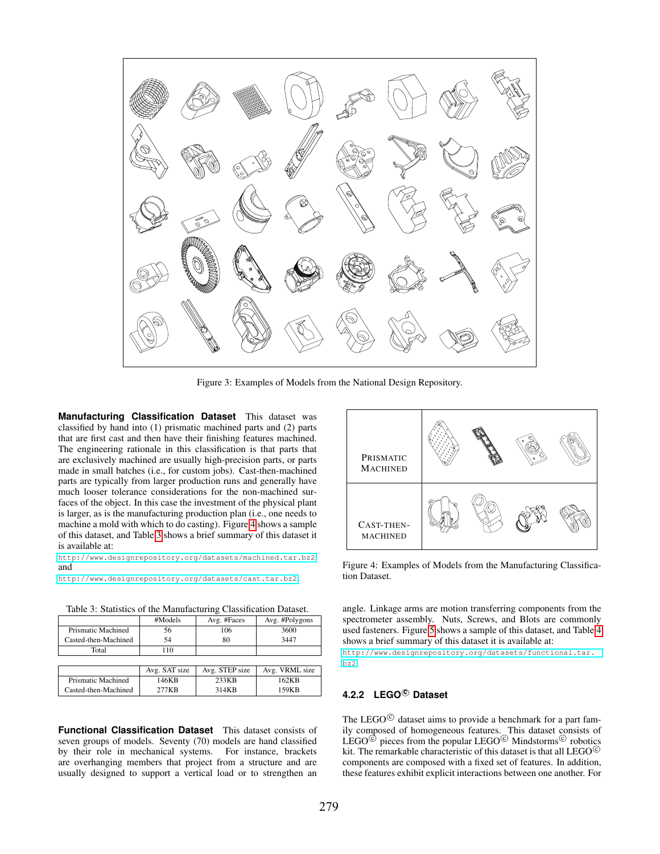

<span id="page-4-0"></span>Figure 3: Examples of Models from the National Design Repository.

**Manufacturing Classification Dataset** This dataset was classified by hand into (1) prismatic machined parts and (2) parts that are first cast and then have their finishing features machined. The engineering rationale in this classification is that parts that are exclusively machined are usually high-precision parts, or parts made in small batches (i.e., for custom jobs). Cast-then-machined parts are typically from larger production runs and generally have much looser tolerance considerations for the non-machined surfaces of the object. In this case the investment of the physical plant is larger, as is the manufacturing production plan (i.e., one needs to machine a mold with which to do casting). Figure [4](#page-4-1) shows a sample of this dataset, and Table [3](#page-4-2) shows a brief summary of this dataset it is available at:

<http://www.designrepository.org/datasets/machined.tar.bz2> and

<http://www.designrepository.org/datasets/cast.tar.bz2>.

<span id="page-4-2"></span>Table 3: Statistics of the Manufacturing Classification Dataset.

|                      | #Models         | Avg. #Faces | Avg. #Polygons |
|----------------------|-----------------|-------------|----------------|
| Prismatic Machined   | 56              | 106         | 3600           |
| Casted-then-Machined | 54              | 80          | 3447           |
| Total                | $\overline{10}$ |             |                |
|                      |                 |             |                |

|                      | Avg. SAT size | Avg. STEP size | Avg. VRML size |
|----------------------|---------------|----------------|----------------|
| Prismatic Machined   | 146KB         | 233KB          | 162KB          |
| Casted-then-Machined | 277KB         | 314KB          | 159KB          |

**Functional Classification Dataset** This dataset consists of seven groups of models. Seventy (70) models are hand classified by their role in mechanical systems. For instance, brackets are overhanging members that project from a structure and are usually designed to support a vertical load or to strengthen an



<span id="page-4-1"></span>Figure 4: Examples of Models from the Manufacturing Classification Dataset.

angle. Linkage arms are motion transferring components from the spectrometer assembly. Nuts, Screws, and Blots are commonly used fasteners. Figure [5](#page-5-0) shows a sample of this dataset, and Table [4](#page-5-1) shows a brief summary of this dataset it is available at:

[http://www.designrepository.org/datasets/functional.tar.](http://www.designrepository.org/datasets/functional.tar.bz2) [bz2](http://www.designrepository.org/datasets/functional.tar.bz2).

## **4.2.2 LEGO <sup>c</sup> Dataset**

The LEGO $\odot$  dataset aims to provide a benchmark for a part family composed of homogeneous features. This dataset consists of LEGO $\circledcirc$  pieces from the popular LEGO $\circledcirc$  Mindstorms $\circledcirc$  robotics kit. The remarkable characteristic of this dataset is that all  $LEGO^{\odot}$ components are composed with a fixed set of features. In addition, these features exhibit explicit interactions between one another. For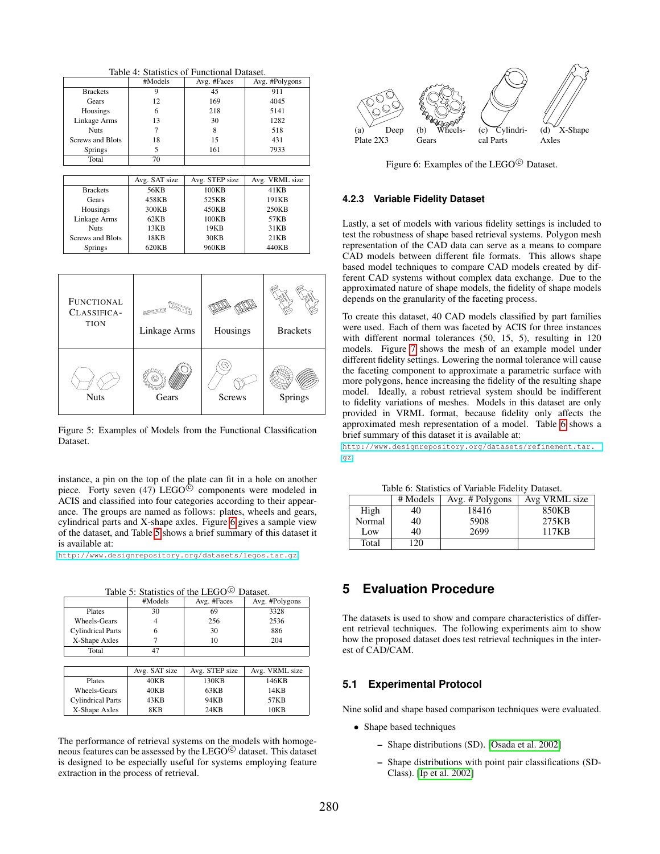|                         | #Models       | Avg. #Faces    | Avg. #Polygons |
|-------------------------|---------------|----------------|----------------|
| <b>Brackets</b>         | 9             | 45             | 911            |
| Gears                   | 12            | 169            | 4045           |
| Housings                | 6             | 218            | 5141           |
| Linkage Arms            | 13            | 30             | 1282           |
| <b>Nuts</b>             | 7             | 8              | 518            |
| Screws and Blots        | 18            | 15             | 431            |
| Springs                 | 5             | 161            | 7933           |
| Total                   | 70            |                |                |
|                         |               |                |                |
|                         | Avg. SAT size | Avg. STEP size | Avg. VRML size |
| <b>Brackets</b>         | 56KB          | 100KB          | 41KB           |
| 458KB<br>Gears          |               | 525KB          | 191KB          |
| Housings                | 300KB         |                | 250KB          |
| Linkage Arms            | 62KB          |                | 57KB           |
| <b>Nuts</b><br>13KB     |               | 19KB           | 31KB           |
| <b>Screws and Blots</b> | 18KB          | 30KB           | 21KB           |
| 620KB<br>Springs        |               | 960KB          | 440KB          |

<span id="page-5-1"></span>Table 4: Statistics of Functional Dataset.

| opmigs                                          | 020N                 | 200           | <b>HAOIZD</b>   |
|-------------------------------------------------|----------------------|---------------|-----------------|
|                                                 |                      |               |                 |
| <b>FUNCTIONAL</b><br>CLASSIFICA-<br><b>TION</b> | - 50<br>Linkage Arms | Housings      | <b>Brackets</b> |
| <b>Nuts</b>                                     | Gears                | <b>Screws</b> | Springs         |

<span id="page-5-0"></span>Figure 5: Examples of Models from the Functional Classification Dataset.

instance, a pin on the top of the plate can fit in a hole on another piece. Forty seven  $(47)$  LEGO<sup>©</sup> components were modeled in ACIS and classified into four categories according to their appearance. The groups are named as follows: plates, wheels and gears, cylindrical parts and X-shape axles. Figure [6](#page-5-2) gives a sample view of the dataset, and Table [5](#page-5-3) shows a brief summary of this dataset it is available at:

<http://www.designrepository.org/datasets/legos.tar.gz>.

<span id="page-5-3"></span>Table 5: Statistics of the LEGO<sup>©</sup> Dataset.

|                          | #Models | Avg. #Faces | Avg. #Polygons |
|--------------------------|---------|-------------|----------------|
| Plates                   | 30      | 69          | 3328           |
| Wheels-Gears             |         | 256         | 2536           |
| <b>Cylindrical Parts</b> | Ω       | 30          | 886            |
| X-Shape Axles            |         | 10          | 204            |
| Total                    |         |             |                |

|                          | Avg. SAT size | Avg. STEP size | Avg. VRML size |
|--------------------------|---------------|----------------|----------------|
| Plates                   | 40KB          | 130KB          | 146KB          |
| Wheels-Gears             | 40KB          | 63KB           | 14KB           |
| <b>Cylindrical Parts</b> | 43KB          | 94KB           | 57KB           |
| X-Shape Axles            | 8KB           | 24KB           | 10KB           |

The performance of retrieval systems on the models with homogeneous features can be assessed by the LEGO $\odot$  dataset. This dataset is designed to be especially useful for systems employing feature extraction in the process of retrieval.



<span id="page-5-2"></span>Figure 6: Examples of the LEGO $\circ$  Dataset.

#### **4.2.3 Variable Fidelity Dataset**

Lastly, a set of models with various fidelity settings is included to test the robustness of shape based retrieval systems. Polygon mesh representation of the CAD data can serve as a means to compare CAD models between different file formats. This allows shape based model techniques to compare CAD models created by different CAD systems without complex data exchange. Due to the approximated nature of shape models, the fidelity of shape models depends on the granularity of the faceting process.

To create this dataset, 40 CAD models classified by part families were used. Each of them was faceted by ACIS for three instances with different normal tolerances (50, 15, 5), resulting in 120 models. Figure [7](#page-6-0) shows the mesh of an example model under different fidelity settings. Lowering the normal tolerance will cause the faceting component to approximate a parametric surface with more polygons, hence increasing the fidelity of the resulting shape model. Ideally, a robust retrieval system should be indifferent to fidelity variations of meshes. Models in this dataset are only provided in VRML format, because fidelity only affects the approximated mesh representation of a model. Table [6](#page-5-4) shows a brief summary of this dataset it is available at:

[http://www.designrepository.org/datasets/refinement.tar.](http://www.designrepository.org/datasets/refinement.tar.gz) [gz](http://www.designrepository.org/datasets/refinement.tar.gz).

<span id="page-5-4"></span>Table 6: Statistics of Variable Fidelity Dataset.

|        | # Models | Avg. # Polygons | Avg VRML size |
|--------|----------|-----------------|---------------|
| High   | 40       | 18416           | 850KB         |
| Normal | 40       | 5908            | 275KB         |
| Low    | 40       | 2699            | 117KB         |
| Total  | 120      |                 |               |

## **5 Evaluation Procedure**

The datasets is used to show and compare characteristics of different retrieval techniques. The following experiments aim to show how the proposed dataset does test retrieval techniques in the interest of CAD/CAM.

#### **5.1 Experimental Protocol**

Nine solid and shape based comparison techniques were evaluated.

- Shape based techniques
	- Shape distributions (SD). [\[Osada et al. 2002\]](#page-11-3)
	- Shape distributions with point pair classifications (SD-Class). [\[Ip et al. 2002\]](#page-9-6)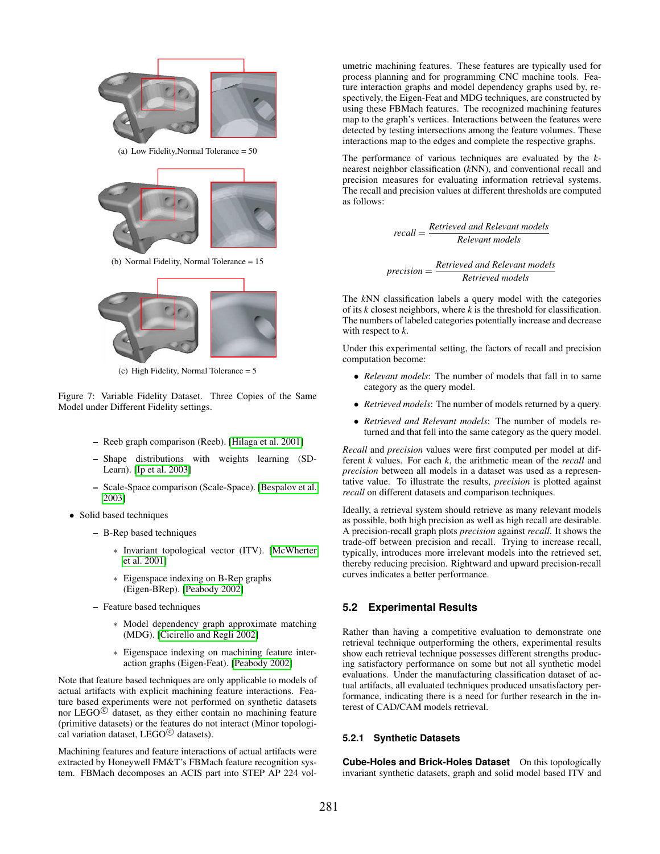



(b) Normal Fidelity, Normal Tolerance = 15



(c) High Fidelity, Normal Tolerance = 5

<span id="page-6-0"></span>Figure 7: Variable Fidelity Dataset. Three Copies of the Same Model under Different Fidelity settings.

- Reeb graph comparison (Reeb). [\[Hilaga et al. 2001\]](#page-9-5)
- Shape distributions with weights learning (SD-Learn). [\[Ip et al. 2003\]](#page-9-7)
- Scale-Space comparison (Scale-Space). [\[Bespalov et al.](#page-8-0) [2003\]](#page-8-0)
- Solid based techniques
	- B-Rep based techniques
		- ∗ Invariant topological vector (ITV). [\[McWherter](#page-11-1) [et al. 2001\]](#page-11-1)
		- ∗ Eigenspace indexing on B-Rep graphs (Eigen-BRep). [\[Peabody 2002\]](#page-11-11)
	- Feature based techniques
		- ∗ Model dependency graph approximate matching (MDG). [\[Cicirello and Regli 2002\]](#page-9-3)
		- ∗ Eigenspace indexing on machining feature interaction graphs (Eigen-Feat). [\[Peabody 2002\]](#page-11-11)

Note that feature based techniques are only applicable to models of actual artifacts with explicit machining feature interactions. Feature based experiments were not performed on synthetic datasets nor LEGO $\odot$  dataset, as they either contain no machining feature (primitive datasets) or the features do not interact (Minor topological variation dataset, LEGO<sup>©</sup> datasets).

Machining features and feature interactions of actual artifacts were extracted by Honeywell FM&T's FBMach feature recognition system. FBMach decomposes an ACIS part into STEP AP 224 volumetric machining features. These features are typically used for process planning and for programming CNC machine tools. Feature interaction graphs and model dependency graphs used by, respectively, the Eigen-Feat and MDG techniques, are constructed by using these FBMach features. The recognized machining features map to the graph's vertices. Interactions between the features were detected by testing intersections among the feature volumes. These interactions map to the edges and complete the respective graphs.

The performance of various techniques are evaluated by the *k*nearest neighbor classification (*k*NN), and conventional recall and precision measures for evaluating information retrieval systems. The recall and precision values at different thresholds are computed as follows:

$$
recall = \frac{Retrieved \ and \ Relevant \ models}{Relevant \ models}
$$

*precision* = *Retrieved and Relevant models Retrieved models*

The *k*NN classification labels a query model with the categories of its *k* closest neighbors, where *k* is the threshold for classification. The numbers of labeled categories potentially increase and decrease with respect to *k*.

Under this experimental setting, the factors of recall and precision computation become:

- *Relevant models*: The number of models that fall in to same category as the query model.
- *Retrieved models*: The number of models returned by a query.
- *Retrieved and Relevant models*: The number of models returned and that fell into the same category as the query model.

*Recall* and *precision* values were first computed per model at different *k* values. For each *k*, the arithmetic mean of the *recall* and *precision* between all models in a dataset was used as a representative value. To illustrate the results, *precision* is plotted against *recall* on different datasets and comparison techniques.

Ideally, a retrieval system should retrieve as many relevant models as possible, both high precision as well as high recall are desirable. A precision-recall graph plots *precision* against *recall*. It shows the trade-off between precision and recall. Trying to increase recall, typically, introduces more irrelevant models into the retrieved set, thereby reducing precision. Rightward and upward precision-recall curves indicates a better performance.

## **5.2 Experimental Results**

Rather than having a competitive evaluation to demonstrate one retrieval technique outperforming the others, experimental results show each retrieval technique possesses different strengths producing satisfactory performance on some but not all synthetic model evaluations. Under the manufacturing classification dataset of actual artifacts, all evaluated techniques produced unsatisfactory performance, indicating there is a need for further research in the interest of CAD/CAM models retrieval.

#### **5.2.1 Synthetic Datasets**

**Cube-Holes and Brick-Holes Dataset** On this topologically invariant synthetic datasets, graph and solid model based ITV and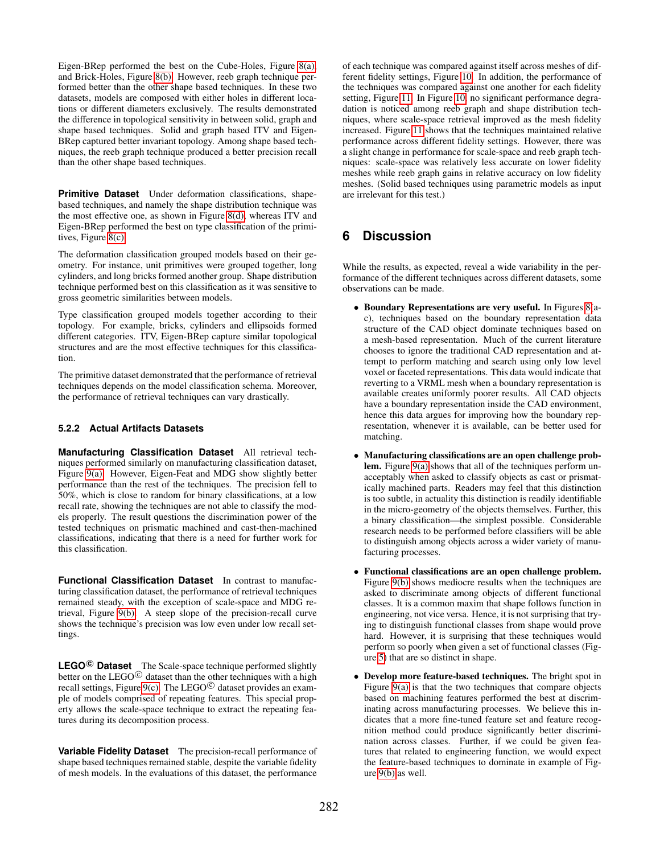Eigen-BRep performed the best on the Cube-Holes, Figure [8\(a\),](#page-8-2) and Brick-Holes, Figure [8\(b\).](#page-8-3) However, reeb graph technique performed better than the other shape based techniques. In these two datasets, models are composed with either holes in different locations or different diameters exclusively. The results demonstrated the difference in topological sensitivity in between solid, graph and shape based techniques. Solid and graph based ITV and Eigen-BRep captured better invariant topology. Among shape based techniques, the reeb graph technique produced a better precision recall than the other shape based techniques.

**Primitive Dataset** Under deformation classifications, shapebased techniques, and namely the shape distribution technique was the most effective one, as shown in Figure [8\(d\),](#page-8-4) whereas ITV and Eigen-BRep performed the best on type classification of the primitives, Figure  $8(c)$ .

The deformation classification grouped models based on their geometry. For instance, unit primitives were grouped together, long cylinders, and long bricks formed another group. Shape distribution technique performed best on this classification as it was sensitive to gross geometric similarities between models.

Type classification grouped models together according to their topology. For example, bricks, cylinders and ellipsoids formed different categories. ITV, Eigen-BRep capture similar topological structures and are the most effective techniques for this classification.

The primitive dataset demonstrated that the performance of retrieval techniques depends on the model classification schema. Moreover, the performance of retrieval techniques can vary drastically.

#### **5.2.2 Actual Artifacts Datasets**

**Manufacturing Classification Dataset** All retrieval techniques performed similarly on manufacturing classification dataset, Figure [9\(a\).](#page-9-11) However, Eigen-Feat and MDG show slightly better performance than the rest of the techniques. The precision fell to 50%, which is close to random for binary classifications, at a low recall rate, showing the techniques are not able to classify the models properly. The result questions the discrimination power of the tested techniques on prismatic machined and cast-then-machined classifications, indicating that there is a need for further work for this classification.

**Functional Classification Dataset** In contrast to manufacturing classification dataset, the performance of retrieval techniques remained steady, with the exception of scale-space and MDG retrieval, Figure [9\(b\).](#page-9-12) A steep slope of the precision-recall curve shows the technique's precision was low even under low recall settings.

**LEGO <sup>c</sup> Dataset** The Scale-space technique performed slightly better on the LEGO $^{\circ}$  dataset than the other techniques with a high recall settings, Figure [9\(c\).](#page-9-13) The LEGO<sup>C</sup> dataset provides an example of models comprised of repeating features. This special property allows the scale-space technique to extract the repeating features during its decomposition process.

**Variable Fidelity Dataset** The precision-recall performance of shape based techniques remained stable, despite the variable fidelity of mesh models. In the evaluations of this dataset, the performance

of each technique was compared against itself across meshes of different fidelity settings, Figure [10.](#page-10-3) In addition, the performance of the techniques was compared against one another for each fidelity setting, Figure [11.](#page-11-12) In Figure [10,](#page-10-3) no significant performance degradation is noticed among reeb graph and shape distribution techniques, where scale-space retrieval improved as the mesh fidelity increased. Figure [11](#page-11-12) shows that the techniques maintained relative performance across different fidelity settings. However, there was a slight change in performance for scale-space and reeb graph techniques: scale-space was relatively less accurate on lower fidelity meshes while reeb graph gains in relative accuracy on low fidelity meshes. (Solid based techniques using parametric models as input are irrelevant for this test.)

# <span id="page-7-0"></span>**6 Discussion**

While the results, as expected, reveal a wide variability in the performance of the different techniques across different datasets, some observations can be made.

- Boundary Representations are very useful. In Figures [8\(](#page-8-6)ac), techniques based on the boundary representation data structure of the CAD object dominate techniques based on a mesh-based representation. Much of the current literature chooses to ignore the traditional CAD representation and attempt to perform matching and search using only low level voxel or faceted representations. This data would indicate that reverting to a VRML mesh when a boundary representation is available creates uniformly poorer results. All CAD objects have a boundary representation inside the CAD environment, hence this data argues for improving how the boundary representation, whenever it is available, can be better used for matching.
- Manufacturing classifications are an open challenge problem. Figure [9\(a\)](#page-9-11) shows that all of the techniques perform unacceptably when asked to classify objects as cast or prismatically machined parts. Readers may feel that this distinction is too subtle, in actuality this distinction is readily identifiable in the micro-geometry of the objects themselves. Further, this a binary classification—the simplest possible. Considerable research needs to be performed before classifiers will be able to distinguish among objects across a wider variety of manufacturing processes.
- Functional classifications are an open challenge problem. Figure [9\(b\)](#page-9-12) shows mediocre results when the techniques are asked to discriminate among objects of different functional classes. It is a common maxim that shape follows function in engineering, not vice versa. Hence, it is not surprising that trying to distinguish functional classes from shape would prove hard. However, it is surprising that these techniques would perform so poorly when given a set of functional classes (Figure [5\)](#page-5-0) that are so distinct in shape.
- Develop more feature-based techniques. The bright spot in Figure [9\(a\)](#page-9-11) is that the two techniques that compare objects based on machining features performed the best at discriminating across manufacturing processes. We believe this indicates that a more fine-tuned feature set and feature recognition method could produce significantly better discrimination across classes. Further, if we could be given features that related to engineering function, we would expect the feature-based techniques to dominate in example of Figure [9\(b\)](#page-9-12) as well.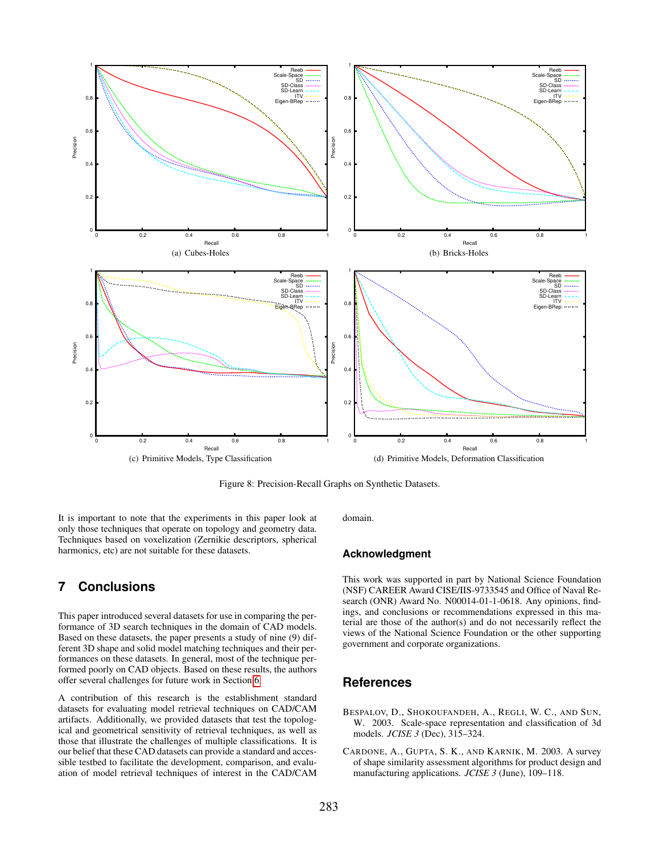<span id="page-8-2"></span>

<span id="page-8-6"></span><span id="page-8-3"></span>Figure 8: Precision-Recall Graphs on Synthetic Datasets.

<span id="page-8-5"></span>It is important to note that the experiments in this paper look at only those techniques that operate on topology and geometry data. Techniques based on voxelization (Zernikie descriptors, spherical harmonics, etc) are not suitable for these datasets.

# **7 Conclusions**

This paper introduced several datasets for use in comparing the performance of 3D search techniques in the domain of CAD models. Based on these datasets, the paper presents a study of nine (9) different 3D shape and solid model matching techniques and their performances on these datasets. In general, most of the technique performed poorly on CAD objects. Based on these results, the authors offer several challenges for future work in Section [6.](#page-7-0)

A contribution of this research is the establishment standard datasets for evaluating model retrieval techniques on CAD/CAM artifacts. Additionally, we provided datasets that test the topological and geometrical sensitivity of retrieval techniques, as well as those that illustrate the challenges of multiple classifications. It is our belief that these CAD datasets can provide a standard and accessible testbed to facilitate the development, comparison, and evaluation of model retrieval techniques of interest in the CAD/CAM <span id="page-8-4"></span>domain.

## **Acknowledgment**

This work was supported in part by National Science Foundation (NSF) CAREER Award CISE/IIS-9733545 and Office of Naval Research (ONR) Award No. N00014-01-1-0618. Any opinions, findings, and conclusions or recommendations expressed in this material are those of the author(s) and do not necessarily reflect the views of the National Science Foundation or the other supporting government and corporate organizations.

## **References**

- <span id="page-8-0"></span>BESPALOV, D., SHOKOUFANDEH, A., REGLI, W. C., AND SUN, W. 2003. Scale-space representation and classification of 3d models. *JCISE 3* (Dec), 315–324.
- <span id="page-8-1"></span>CARDONE, A., GUPTA, S. K., AND KARNIK, M. 2003. A survey of shape similarity assessment algorithms for product design and manufacturing applications. *JCISE 3* (June), 109–118.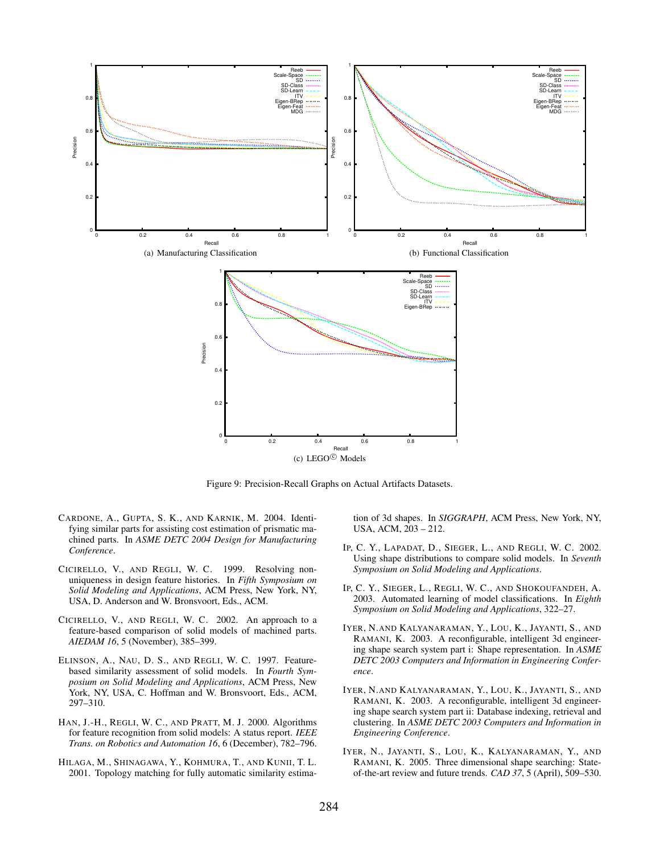<span id="page-9-11"></span>

<span id="page-9-13"></span><span id="page-9-12"></span>Figure 9: Precision-Recall Graphs on Actual Artifacts Datasets.

- <span id="page-9-4"></span>CARDONE, A., GUPTA, S. K., AND KARNIK, M. 2004. Identifying similar parts for assisting cost estimation of prismatic machined parts. In *ASME DETC 2004 Design for Manufacturing Conference*.
- <span id="page-9-2"></span>CICIRELLO, V., AND REGLI, W. C. 1999. Resolving nonuniqueness in design feature histories. In *Fifth Symposium on Solid Modeling and Applications*, ACM Press, New York, NY, USA, D. Anderson and W. Bronsvoort, Eds., ACM.
- <span id="page-9-3"></span>CICIRELLO, V., AND REGLI, W. C. 2002. An approach to a feature-based comparison of solid models of machined parts. *AIEDAM 16*, 5 (November), 385–399.
- <span id="page-9-1"></span>ELINSON, A., NAU, D. S., AND REGLI, W. C. 1997. Featurebased similarity assessment of solid models. In *Fourth Symposium on Solid Modeling and Applications*, ACM Press, New York, NY, USA, C. Hoffman and W. Bronsvoort, Eds., ACM, 297–310.
- <span id="page-9-0"></span>HAN, J.-H., REGLI, W. C., AND PRATT, M. J. 2000. Algorithms for feature recognition from solid models: A status report. *IEEE Trans. on Robotics and Automation 16*, 6 (December), 782–796.
- <span id="page-9-5"></span>HILAGA, M., SHINAGAWA, Y., KOHMURA, T., AND KUNII, T. L. 2001. Topology matching for fully automatic similarity estima-

tion of 3d shapes. In *SIGGRAPH*, ACM Press, New York, NY, USA, ACM, 203 – 212.

- <span id="page-9-6"></span>IP, C. Y., LAPADAT, D., SIEGER, L., AND REGLI, W. C. 2002. Using shape distributions to compare solid models. In *Seventh Symposium on Solid Modeling and Applications*.
- <span id="page-9-7"></span>IP, C. Y., SIEGER, L., REGLI, W. C., AND SHOKOUFANDEH, A. 2003. Automated learning of model classifications. In *Eighth Symposium on Solid Modeling and Applications*, 322–27.
- <span id="page-9-8"></span>IYER, N.AND KALYANARAMAN, Y., LOU, K., JAYANTI, S., AND RAMANI, K. 2003. A reconfigurable, intelligent 3d engineering shape search system part i: Shape representation. In *ASME DETC 2003 Computers and Information in Engineering Conference*.
- <span id="page-9-9"></span>IYER, N.AND KALYANARAMAN, Y., LOU, K., JAYANTI, S., AND RAMANI, K. 2003. A reconfigurable, intelligent 3d engineering shape search system part ii: Database indexing, retrieval and clustering. In *ASME DETC 2003 Computers and Information in Engineering Conference*.
- <span id="page-9-10"></span>IYER, N., JAYANTI, S., LOU, K., KALYANARAMAN, Y., AND RAMANI, K. 2005. Three dimensional shape searching: Stateof-the-art review and future trends. *CAD 37*, 5 (April), 509–530.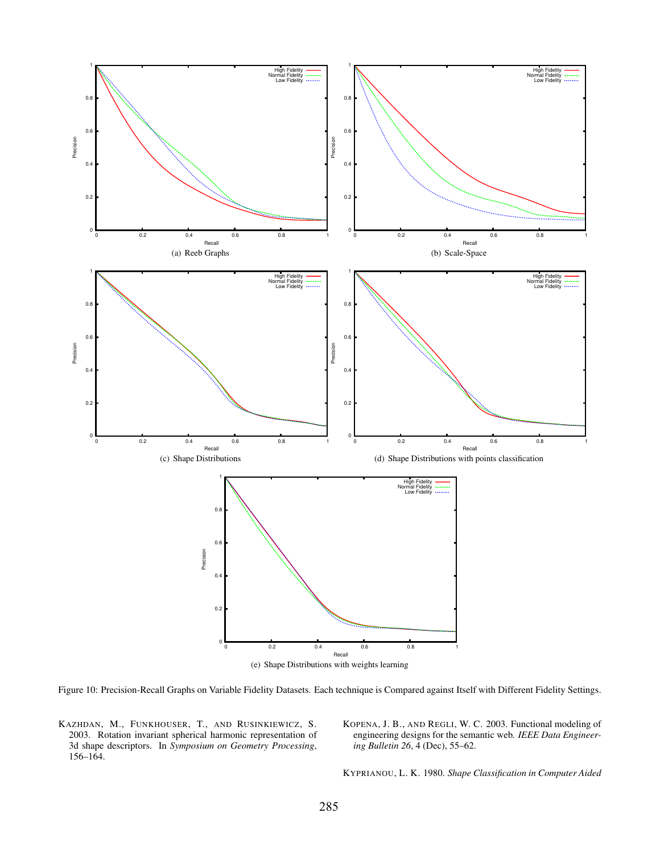

<span id="page-10-3"></span>Figure 10: Precision-Recall Graphs on Variable Fidelity Datasets. Each technique is Compared against Itself with Different Fidelity Settings.

<span id="page-10-1"></span>KAZHDAN, M., FUNKHOUSER, T., AND RUSINKIEWICZ, S. 2003. Rotation invariant spherical harmonic representation of 3d shape descriptors. In *Symposium on Geometry Processing*, 156–164.

<span id="page-10-2"></span>KOPENA, J. B., AND REGLI, W. C. 2003. Functional modeling of engineering designs for the semantic web. *IEEE Data Engineering Bulletin 26*, 4 (Dec), 55–62.

<span id="page-10-0"></span>KYPRIANOU, L. K. 1980. *Shape Classification in Computer Aided*